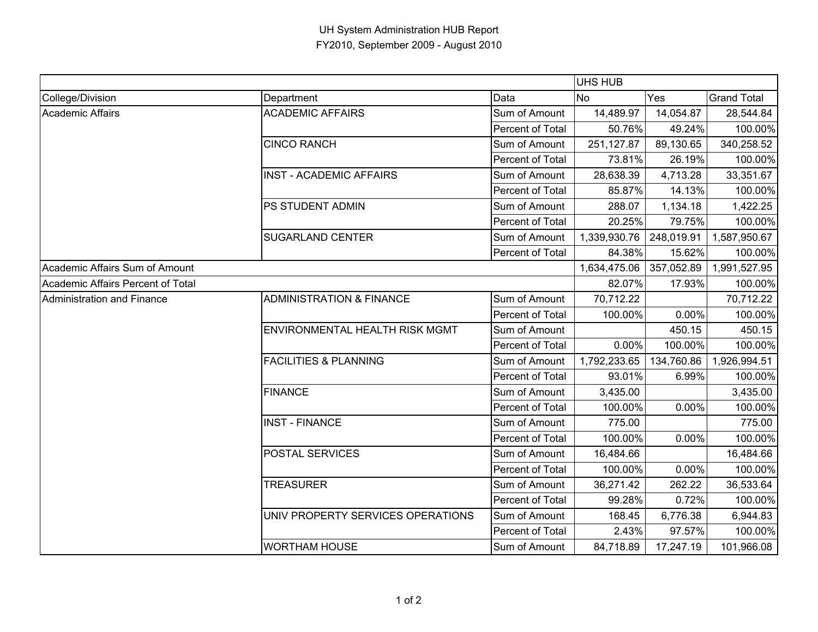|                                   |                                       |                  | <b>UHS HUB</b> |            |                    |
|-----------------------------------|---------------------------------------|------------------|----------------|------------|--------------------|
| College/Division                  | Department                            | Data             | <b>No</b>      | Yes        | <b>Grand Total</b> |
| <b>Academic Affairs</b>           | <b>ACADEMIC AFFAIRS</b>               | Sum of Amount    | 14,489.97      | 14,054.87  | 28,544.84          |
|                                   |                                       | Percent of Total | 50.76%         | 49.24%     | 100.00%            |
|                                   | <b>CINCO RANCH</b>                    | Sum of Amount    | 251,127.87     | 89,130.65  | 340,258.52         |
|                                   |                                       | Percent of Total | 73.81%         | 26.19%     | 100.00%            |
|                                   | <b>INST - ACADEMIC AFFAIRS</b>        | Sum of Amount    | 28,638.39      | 4,713.28   | 33,351.67          |
|                                   |                                       | Percent of Total | 85.87%         | 14.13%     | 100.00%            |
|                                   | <b>PS STUDENT ADMIN</b>               | Sum of Amount    | 288.07         | 1,134.18   | 1,422.25           |
|                                   |                                       | Percent of Total | 20.25%         | 79.75%     | 100.00%            |
|                                   | <b>SUGARLAND CENTER</b>               | Sum of Amount    | 1,339,930.76   | 248,019.91 | 1,587,950.67       |
|                                   |                                       | Percent of Total | 84.38%         | 15.62%     | 100.00%            |
| Academic Affairs Sum of Amount    |                                       |                  | 1,634,475.06   | 357,052.89 | 1,991,527.95       |
| Academic Affairs Percent of Total |                                       |                  | 82.07%         | 17.93%     | 100.00%            |
| Administration and Finance        | <b>ADMINISTRATION &amp; FINANCE</b>   | Sum of Amount    | 70,712.22      |            | 70,712.22          |
|                                   |                                       | Percent of Total | 100.00%        | 0.00%      | 100.00%            |
|                                   | <b>ENVIRONMENTAL HEALTH RISK MGMT</b> | Sum of Amount    |                | 450.15     | 450.15             |
|                                   |                                       | Percent of Total | 0.00%          | 100.00%    | 100.00%            |
|                                   | <b>FACILITIES &amp; PLANNING</b>      | Sum of Amount    | 1,792,233.65   | 134,760.86 | 1,926,994.51       |
|                                   |                                       | Percent of Total | 93.01%         | 6.99%      | 100.00%            |
|                                   | <b>FINANCE</b>                        | Sum of Amount    | 3,435.00       |            | 3,435.00           |
|                                   |                                       | Percent of Total | 100.00%        | 0.00%      | 100.00%            |
|                                   | <b>INST - FINANCE</b>                 | Sum of Amount    | 775.00         |            | 775.00             |
|                                   |                                       | Percent of Total | 100.00%        | 0.00%      | 100.00%            |
|                                   | <b>POSTAL SERVICES</b>                | Sum of Amount    | 16,484.66      |            | 16,484.66          |
|                                   |                                       | Percent of Total | 100.00%        | 0.00%      | 100.00%            |
|                                   | <b>TREASURER</b>                      | Sum of Amount    | 36,271.42      | 262.22     | 36,533.64          |
|                                   |                                       | Percent of Total | 99.28%         | 0.72%      | 100.00%            |
|                                   | UNIV PROPERTY SERVICES OPERATIONS     | Sum of Amount    | 168.45         | 6,776.38   | 6,944.83           |
|                                   |                                       | Percent of Total | 2.43%          | 97.57%     | 100.00%            |
|                                   | <b>WORTHAM HOUSE</b>                  | Sum of Amount    | 84,718.89      | 17,247.19  | 101,966.08         |